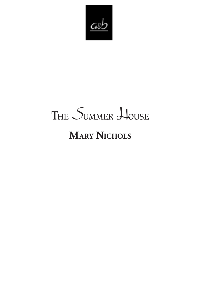$\alpha b$ 

# THE SUMMER HOUSE **Mary Nichols**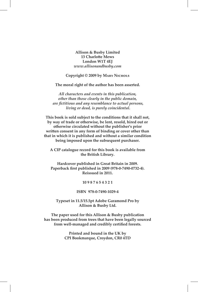**Allison & Busby Limited 13 Charlotte Mews London W1T 4EJ** *www.allisonandbusby.com*

#### **Copyright © 2009 by Mary Nichols**

**The moral right of the author has been asserted.**

*All characters and events in this publication, other than those clearly in the public domain, are fictitious and any resemblance to actual persons, living or dead, is purely coincidental.*

**This book is sold subject to the conditions that it shall not, by way of trade or otherwise, be lent, resold, hired out or otherwise circulated without the publisher's prior written consent in any form of binding or cover other than that in which it is published and without a similar condition being imposed upon the subsequent purchaser.**

**A CIP catalogue record for this book is available from the British Library.**

**Hardcover published in Great Britain in 2009. Paperback first published in 2009 (978-0-7490-0732-4). Reissued in 2011.**

**10 9 8 7 6 5 4 3 2 1**

#### **ISBN 978-0-7490-1029-4**

**Typeset in 11.5/15.5pt Adobe Garamond Pro by Allison & Busby Ltd.**

**The paper used for this Allison & Busby publication has been produced from trees that have been legally sourced from well-managed and credibly certified forests.**

> **Printed and bound in the UK by CPI Bookmarque, Croydon, CR0 4TD**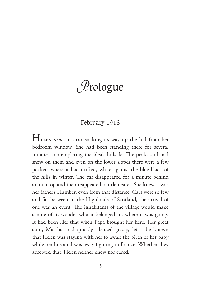## Prologue

### February 1918

Helen saw the car snaking its way up the hill from her bedroom window. She had been standing there for several minutes contemplating the bleak hillside. The peaks still had snow on them and even on the lower slopes there were a few pockets where it had drifted, white against the blue-black of the hills in winter. The car disappeared for a minute behind an outcrop and then reappeared a little nearer. She knew it was her father's Humber, even from that distance. Cars were so few and far between in the Highlands of Scotland, the arrival of one was an event. The inhabitants of the village would make a note of it, wonder who it belonged to, where it was going. It had been like that when Papa brought her here. Her great aunt, Martha, had quickly silenced gossip, let it be known that Helen was staying with her to await the birth of her baby while her husband was away fighting in France. Whether they accepted that, Helen neither knew nor cared.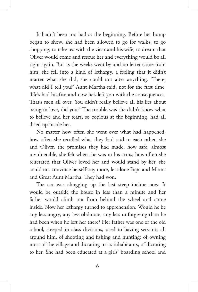It hadn't been too bad at the beginning. Before her bump began to show, she had been allowed to go for walks, to go shopping, to take tea with the vicar and his wife, to dream that Oliver would come and rescue her and everything would be all right again. But as the weeks went by and no letter came from him, she fell into a kind of lethargy, a feeling that it didn't matter what she did, she could not alter anything. 'There, what did I tell you?' Aunt Martha said, not for the first time. 'He's had his fun and now he's left you with the consequences. That's men all over. You didn't really believe all his lies about being in love, did you?' The trouble was she didn't know what to believe and her tears, so copious at the beginning, had all dried up inside her.

No matter how often she went over what had happened, how often she recalled what they had said to each other, she and Oliver, the promises they had made, how safe, almost invulnerable, she felt when she was in his arms, how often she reiterated that Oliver loved her and would stand by her, she could not convince herself any more, let alone Papa and Mama and Great Aunt Martha. They had won.

The car was chugging up the last steep incline now. It would be outside the house in less than a minute and her father would climb out from behind the wheel and come inside. Now her lethargy turned to apprehension. Would he be any less angry, any less obdurate, any less unforgiving than he had been when he left her there? Her father was one of the old school, steeped in class divisions, used to having servants all around him, of shooting and fishing and hunting; of owning most of the village and dictating to its inhabitants, of dictating to her. She had been educated at a girls' boarding school and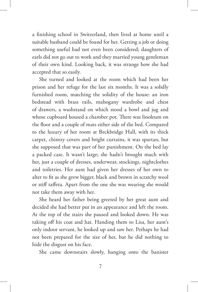a finishing school in Switzerland, then lived at home until a suitable husband could be found for her. Getting a job or doing something useful had not even been considered; daughters of earls did not go out to work and they married young gentleman of their own kind. Looking back, it was strange how she had accepted that so easily.

She turned and looked at the room which had been her prison and her refuge for the last six months. It was a solidly furnished room, matching the solidity of the house: an iron bedstead with brass rails, mahogany wardrobe and chest of drawers, a washstand on which stood a bowl and jug and whose cupboard housed a chamber pot. There was linoleum on the floor and a couple of mats either side of the bed. Compared to the luxury of her room at Beckbridge Hall, with its thick carpet, chintzy covers and bright curtains, it was spartan, but she supposed that was part of her punishment. On the bed lay a packed case. It wasn't large; she hadn't brought much with her, just a couple of dresses, underwear, stockings, nightclothes and toiletries. Her aunt had given her dresses of her own to alter to fit as she grew bigger, black and brown in scratchy wool or stiff taffeta. Apart from the one she was wearing she would not take them away with her.

She heard her father being greeted by her great aunt and decided she had better put in an appearance and left the room. At the top of the stairs she paused and looked down. He was taking off his coat and hat. Handing them to Lisa, her aunt's only indoor servant, he looked up and saw her. Perhaps he had not been prepared for the size of her, but he did nothing to hide the disgust on his face.

She came downstairs slowly, hanging onto the banister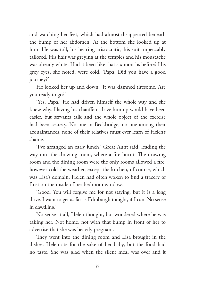and watching her feet, which had almost disappeared beneath the bump of her abdomen. At the bottom she looked up at him. He was tall, his bearing aristocratic, his suit impeccably tailored. His hair was greying at the temples and his moustache was already white. Had it been like that six months before? His grey eyes, she noted, were cold. 'Papa. Did you have a good journey?'

He looked her up and down. 'It was damned tiresome. Are you ready to go?'

'Yes, Papa.' He had driven himself the whole way and she knew why. Having his chauffeur drive him up would have been easier, but servants talk and the whole object of the exercise had been secrecy. No one in Beckbridge, no one among their acquaintances, none of their relatives must ever learn of Helen's shame.

'I've arranged an early lunch,' Great Aunt said, leading the way into the drawing room, where a fire burnt. The drawing room and the dining room were the only rooms allowed a fire, however cold the weather, except the kitchen, of course, which was Lisa's domain. Helen had often woken to find a tracery of frost on the inside of her bedroom window.

'Good. You will forgive me for not staying, but it is a long drive. I want to get as far as Edinburgh tonight, if I can. No sense in dawdling.'

No sense at all, Helen thought, but wondered where he was taking her. Not home, not with that bump in front of her to advertise that she was heavily pregnant.

They went into the dining room and Lisa brought in the dishes. Helen ate for the sake of her baby, but the food had no taste. She was glad when the silent meal was over and it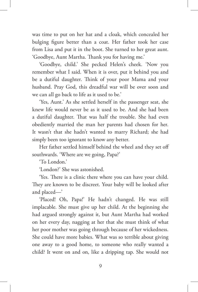was time to put on her hat and a cloak, which concealed her bulging figure better than a coat. Her father took her case from Lisa and put it in the boot. She turned to her great aunt. 'Goodbye, Aunt Martha. Thank you for having me.'

'Goodbye, child.' She pecked Helen's cheek. 'Now you remember what I said. When it is over, put it behind you and be a dutiful daughter. Think of your poor Mama and your husband. Pray God, this dreadful war will be over soon and we can all go back to life as it used to be.'

'Yes, Aunt.' As she settled herself in the passenger seat, she knew life would never be as it used to be. And she had been a dutiful daughter. That was half the trouble. She had even obediently married the man her parents had chosen for her. It wasn't that she hadn't wanted to marry Richard; she had simply been too ignorant to know any better.

Her father settled himself behind the wheel and they set off southwards. 'Where are we going, Papa?'

'To London.'

'London?' She was astonished.

'Yes. There is a clinic there where you can have your child. They are known to be discreet. Your baby will be looked after and placed—'

'Placed! Oh, Papa!' He hadn't changed. He was still implacable. She must give up her child. At the beginning she had argued strongly against it, but Aunt Martha had worked on her every day, nagging at her that she must think of what her poor mother was going through because of her wickedness. She could have more babies. What was so terrible about giving one away to a good home, to someone who really wanted a child? It went on and on, like a dripping tap. She would not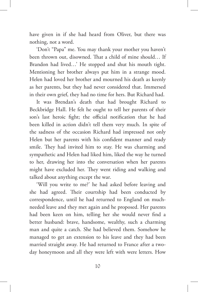have given in if she had heard from Oliver, but there was nothing, not a word.

'Don't "Papa" me. You may thank your mother you haven't been thrown out, disowned. That a child of mine should… If Brandon had lived…' He stopped and shut his mouth tight. Mentioning her brother always put him in a strange mood. Helen had loved her brother and mourned his death as keenly as her parents, but they had never considered that. Immersed in their own grief, they had no time for hers. But Richard had.

It was Brendan's death that had brought Richard to Beckbridge Hall. He felt he ought to tell her parents of their son's last heroic fight; the official notification that he had been killed in action didn't tell them very much. In spite of the sadness of the occasion Richard had impressed not only Helen but her parents with his confident manner and ready smile. They had invited him to stay. He was charming and sympathetic and Helen had liked him, liked the way he turned to her, drawing her into the conversation when her parents might have excluded her. They went riding and walking and talked about anything except the war.

'Will you write to me?' he had asked before leaving and she had agreed. Their courtship had been conducted by correspondence, until he had returned to England on muchneeded leave and they met again and he proposed. Her parents had been keen on him, telling her she would never find a better husband: brave, handsome, wealthy, such a charming man and quite a catch. She had believed them. Somehow he managed to get an extension to his leave and they had been married straight away. He had returned to France after a twoday honeymoon and all they were left with were letters. How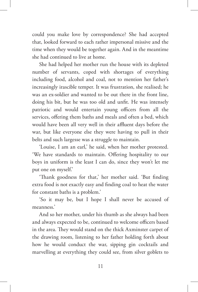could you make love by correspondence? She had accepted that, looked forward to each rather impersonal missive and the time when they would be together again. And in the meantime she had continued to live at home.

She had helped her mother run the house with its depleted number of servants, coped with shortages of everything including food, alcohol and coal, not to mention her father's increasingly irascible temper. It was frustration, she realised; he was an ex-soldier and wanted to be out there in the front line, doing his bit, but he was too old and unfit. He was intensely patriotic and would entertain young officers from all the services, offering them baths and meals and often a bed, which would have been all very well in their affluent days before the war, but like everyone else they were having to pull in their belts and such largesse was a struggle to maintain.

'Louise, I am an earl,' he said, when her mother protested. 'We have standards to maintain. Offering hospitality to our boys in uniform is the least I can do, since they won't let me put one on myself.'

'Thank goodness for that,' her mother said. 'But finding extra food is not exactly easy and finding coal to heat the water for constant baths is a problem.'

'So it may be, but I hope I shall never be accused of meanness.'

And so her mother, under his thumb as she always had been and always expected to be, continued to welcome officers based in the area. They would stand on the thick Axminster carpet of the drawing room, listening to her father holding forth about how he would conduct the war, sipping gin cocktails and marvelling at everything they could see, from silver goblets to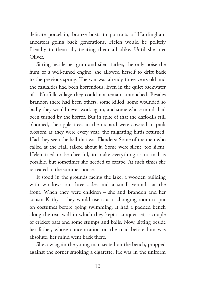delicate porcelain, bronze busts to portraits of Hardingham ancestors going back generations. Helen would be politely friendly to them all, treating them all alike. Until she met Oliver.

Sitting beside her grim and silent father, the only noise the hum of a well-tuned engine, she allowed herself to drift back to the previous spring. The war was already three years old and the casualties had been horrendous. Even in the quiet backwater of a Norfolk village they could not remain untouched. Besides Brandon there had been others, some killed, some wounded so badly they would never work again, and some whose minds had been turned by the horror. But in spite of that the daffodils still bloomed, the apple trees in the orchard were covered in pink blossom as they were every year, the migrating birds returned. Had they seen the hell that was Flanders? Some of the men who called at the Hall talked about it. Some were silent, too silent. Helen tried to be cheerful, to make everything as normal as possible, but sometimes she needed to escape. At such times she retreated to the summer house.

It stood in the grounds facing the lake; a wooden building with windows on three sides and a small veranda at the front. When they were children – she and Brandon and her cousin Kathy – they would use it as a changing room to put on costumes before going swimming. It had a padded bench along the rear wall in which they kept a croquet set, a couple of cricket bats and some stumps and bails. Now, sitting beside her father, whose concentration on the road before him was absolute, her mind went back there.

She saw again the young man seated on the bench, propped against the corner smoking a cigarette. He was in the uniform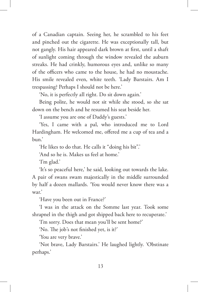of a Canadian captain. Seeing her, he scrambled to his feet and pinched out the cigarette. He was exceptionally tall, but not gangly. His hair appeared dark brown at first, until a shaft of sunlight coming through the window revealed the auburn streaks. He had crinkly, humorous eyes and, unlike so many of the officers who came to the house, he had no moustache. His smile revealed even, white teeth. 'Lady Barstairs. Am I trespassing? Perhaps I should not be here.'

'No, it is perfectly all right. Do sit down again.'

Being polite, he would not sit while she stood, so she sat down on the bench and he resumed his seat beside her.

'I assume you are one of Daddy's guests.'

'Yes, I came with a pal, who introduced me to Lord Hardingham. He welcomed me, offered me a cup of tea and a  $h$ <sub>11n</sub> $h$ 

'He likes to do that. He calls it "doing his bit".'

'And so he is. Makes us feel at home.'

'I'm glad.'

'It's so peaceful here,' he said, looking out towards the lake. A pair of swans swam majestically in the middle surrounded by half a dozen mallards. 'You would never know there was a war.'

'Have you been out in France?'

'I was in the attack on the Somme last year. Took some shrapnel in the thigh and got shipped back here to recuperate.'

'I'm sorry. Does that mean you'll be sent home?'

'No. The job's not finished yet, is it?'

'You are very brave.'

'Not brave, Lady Barstairs.' He laughed lightly. 'Obstinate perhaps.'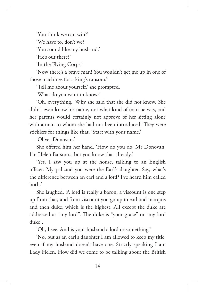'You think we can win?'

'We have to, don't we?'

'You sound like my husband.'

'He's out there?'

'In the Flying Corps.'

'Now there's a brave man! You wouldn't get me up in one of those machines for a king's ransom.'

'Tell me about yourself,' she prompted.

'What do you want to know?'

'Oh, everything.' Why she said that she did not know. She didn't even know his name, nor what kind of man he was, and her parents would certainly not approve of her sitting alone with a man to whom she had not been introduced. They were sticklers for things like that. 'Start with your name.'

'Oliver Donovan.'

She offered him her hand. 'How do you do, Mr Donovan. I'm Helen Barstairs, but you know that already.'

'Yes. I saw you up at the house, talking to an English officer. My pal said you were the Earl's daughter. Say, what's the difference between an earl and a lord? I've heard him called both.'

She laughed. 'A lord is really a baron, a viscount is one step up from that, and from viscount you go up to earl and marquis and then duke, which is the highest. All except the duke are addressed as "my lord". The duke is "your grace" or "my lord duke".

'Oh, I see. And is your husband a lord or something?'

'No, but as an earl's daughter I am allowed to keep my title, even if my husband doesn't have one. Strictly speaking I am Lady Helen. How did we come to be talking about the British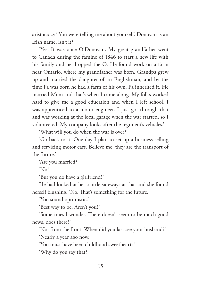aristocracy? You were telling me about yourself. Donovan is an Irish name, isn't it?'

'Yes. It was once O'Donovan. My great grandfather went to Canada during the famine of 1846 to start a new life with his family and he dropped the O. He found work on a farm near Ontario, where my grandfather was born. Grandpa grew up and married the daughter of an Englishman, and by the time Pa was born he had a farm of his own. Pa inherited it. He married Mom and that's when I came along. My folks worked hard to give me a good education and when I left school, I was apprenticed to a motor engineer. I just got through that and was working at the local garage when the war started, so I volunteered. My company looks after the regiment's vehicles.'

'What will you do when the war is over?'

'Go back to it. One day I plan to set up a business selling and servicing motor cars. Believe me, they are the transport of the future.'

'Are you married?'

 $'N_0'$ 

'But you do have a girlfriend?'

He had looked at her a little sideways at that and she found herself blushing. 'No. That's something for the future.'

'You sound optimistic.'

'Best way to be. Aren't you?'

'Sometimes I wonder. There doesn't seem to be much good news, does there?'

'Not from the front. When did you last see your husband?' 'Nearly a year ago now.'

'You must have been childhood sweethearts.'

'Why do you say that?'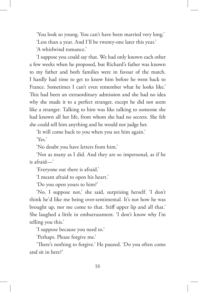'You look so young. You can't have been married very long.' 'Less than a year. And I'll be twenty-one later this year.' 'A whirlwind romance.'

'I suppose you could say that. We had only known each other a few weeks when he proposed, but Richard's father was known to my father and both families were in favour of the match. I hardly had time to get to know him before he went back to France. Sometimes I can't even remember what he looks like.' This had been an extraordinary admission and she had no idea why she made it to a perfect stranger, except he did not seem like a stranger. Talking to him was like talking to someone she had known all her life, from whom she had no secrets. She felt she could tell him anything and he would not judge her.

'It will come back to you when you see him again.'

'Yes.'

'No doubt you have letters from him.'

'Not as many as I did. And they are so impersonal, as if he is afraid—'

'Everyone out there is afraid.'

'I meant afraid to open his heart.'

'Do you open yours to him?'

'No, I suppose not,' she said, surprising herself. 'I don't think he'd like me being over-sentimental. It's not how he was brought up, nor me come to that. Stiff upper lip and all that.' She laughed a little in embarrassment. 'I don't know why I'm telling you this.'

'I suppose because you need to.'

'Perhaps. Please forgive me.'

'There's nothing to forgive.' He paused. 'Do you often come and sit in here?'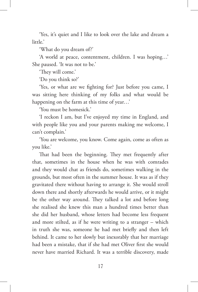'Yes, it's quiet and I like to look over the lake and dream a  $\left| \right|$ itt $\left| e \right|$ 

'What do you dream of?'

'A world at peace, contentment, children. I was hoping…' She paused. 'It was not to be.'

'They will come.'

'Do you think so?'

'Yes, or what are we fighting for? Just before you came, I was sitting here thinking of my folks and what would be happening on the farm at this time of year...'

'You must be homesick.'

'I reckon I am, but I've enjoyed my time in England, and with people like you and your parents making me welcome, I can't complain.'

'You are welcome, you know. Come again, come as often as you like.'

That had been the beginning. They met frequently after that, sometimes in the house when he was with comrades and they would chat as friends do, sometimes walking in the grounds, but most often in the summer house. It was as if they gravitated there without having to arrange it. She would stroll down there and shortly afterwards he would arrive, or it might be the other way around. They talked a lot and before long she realised she knew this man a hundred times better than she did her husband, whose letters had become less frequent and more stilted, as if he were writing to a stranger – which in truth she was, someone he had met briefly and then left behind. It came to her slowly but inexorably that her marriage had been a mistake, that if she had met Oliver first she would never have married Richard. It was a terrible discovery, made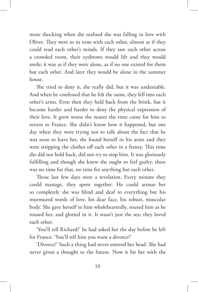more shocking when she realised she was falling in love with Oliver. They were so in tune with each other, almost as if they could read each other's minds. If they saw each other across a crowded room, their eyebrows would lift and they would smile; it was as if they were alone, as if no one existed for them but each other. And later they would be alone in the summer house.

She tried to deny it, she really did, but it was undeniable. And when he confessed that he felt the same, they fell into each other's arms. Even then they held back from the brink, but it became harder and harder to deny the physical expression of their love. It grew worse the nearer the time came for him to return to France. She didn't know how it happened, but one day when they were trying not to talk about the fact that he was soon to leave her, she found herself in his arms and they were stripping the clothes off each other in a frenzy. This time she did not hold back, did not try to stop him. It was gloriously fulfilling and though she knew she ought to feel guilty, there was no time for that, no time for anything but each other.

Those last few days were a revelation. Every minute they could manage, they spent together. He could arouse her so completely she was blind and deaf to everything but his murmured words of love, his dear face, his robust, muscular body. She gave herself to him wholeheartedly, roused him as he roused her, and gloried in it. It wasn't just the sex; they loved each other.

'You'll tell Richard?' he had asked her the day before he left for France. 'You'll tell him you want a divorce?'

'Divorce?' Such a thing had never entered her head. She had never given a thought to the future. Now it hit her with the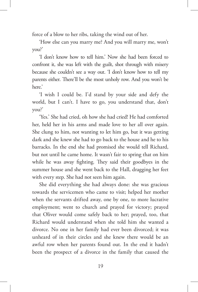force of a blow to her ribs, taking the wind out of her.

'How else can you marry me? And you will marry me, won't you?'

'I don't know how to tell him.' Now she had been forced to confront it, she was left with the guilt, shot through with misery because she couldn't see a way out. 'I don't know how to tell my parents either. There'll be the most unholy row. And you won't be here.'

'I wish I could be. I'd stand by your side and defy the world, but I can't. I have to go, you understand that, don't you?'

'Yes.' She had cried, oh how she had cried! He had comforted her, held her in his arms and made love to her all over again. She clung to him, not wanting to let him go, but it was getting dark and she knew she had to go back to the house and he to his barracks. In the end she had promised she would tell Richard, but not until he came home. It wasn't fair to spring that on him while he was away fighting. They said their goodbyes in the summer house and she went back to the Hall, dragging her feet with every step. She had not seen him again.

She did everything she had always done: she was gracious towards the servicemen who came to visit; helped her mother when the servants drifted away, one by one, to more lucrative employment; went to church and prayed for victory; prayed that Oliver would come safely back to her; prayed, too, that Richard would understand when she told him she wanted a divorce. No one in her family had ever been divorced; it was unheard of in their circles and she knew there would be an awful row when her parents found out. In the end it hadn't been the prospect of a divorce in the family that caused the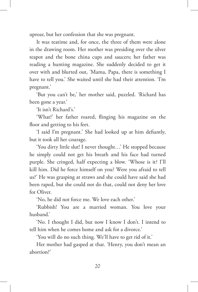uproar, but her confession that she was pregnant.

It was teatime and, for once, the three of them were alone in the drawing room. Her mother was presiding over the silver teapot and the bone china cups and saucers; her father was reading a hunting magazine. She suddenly decided to get it over with and blurted out, 'Mama, Papa, there is something I have to tell you.' She waited until she had their attention. 'I'm pregnant.'

'But you can't be,' her mother said, puzzled. 'Richard has been gone a year.'

'It isn't Richard's.'

'What?' her father roared, flinging his magazine on the floor and getting to his feet.

'I said I'm pregnant.' She had looked up at him defiantly, but it took all her courage.

'You dirty little slut! I never thought…' He stopped because he simply could not get his breath and his face had turned purple. She cringed, half expecting a blow. 'Whose is it? I'll kill him. Did he force himself on you? Were you afraid to tell us?' He was grasping at straws and she could have said she had been raped, but she could not do that, could not deny her love for Oliver.

'No, he did not force me. We love each other.'

'Rubbish! You are a married woman. You love your husband<sup>'</sup>

'No. I thought I did, but now I know I don't. I intend to tell him when he comes home and ask for a divorce.'

'You will do no such thing. We'll have to get rid of it.'

Her mother had gasped at that. 'Henry, you don't mean an abortion?'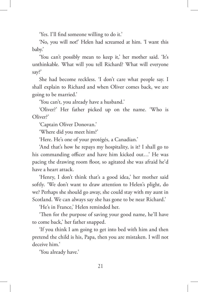'Yes. I'll find someone willing to do it.'

'No, you will not!' Helen had screamed at him. 'I want this baby.'

'You can't possibly mean to keep it,' her mother said. 'It's unthinkable. What will you tell Richard? What will everyone say?'

She had become reckless. 'I don't care what people say. I shall explain to Richard and when Oliver comes back, we are going to be married.'

'You can't, you already have a husband.'

'Oliver?' Her father picked up on the name. 'Who is Oliver?'

'Captain Oliver Donovan.'

'Where did you meet him?'

'Here. He's one of your protégés, a Canadian.'

'And that's how he repays my hospitality, is it? I shall go to his commanding officer and have him kicked out…' He was pacing the drawing room floor, so agitated she was afraid he'd have a heart attack.

'Henry, I don't think that's a good idea,' her mother said softly. 'We don't want to draw attention to Helen's plight, do we? Perhaps she should go away, she could stay with my aunt in Scotland. We can always say she has gone to be near Richard.'

'He's in France,' Helen reminded her.

'Then for the purpose of saving your good name, he'll have to come back,' her father snapped.

'If you think I am going to get into bed with him and then pretend the child is his, Papa, then you are mistaken. I will not deceive him.'

'You already have.'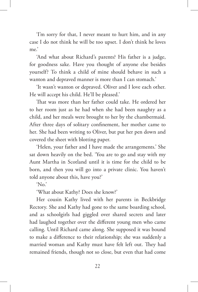'I'm sorry for that, I never meant to hurt him, and in any case I do not think he will be too upset. I don't think he loves me.'

'And what about Richard's parents? His father is a judge, for goodness sake. Have you thought of anyone else besides yourself? To think a child of mine should behave in such a wanton and depraved manner is more than I can stomach.'

'It wasn't wanton or depraved. Oliver and I love each other. He will accept his child. He'll be pleased.'

That was more than her father could take. He ordered her to her room just as he had when she had been naughty as a child, and her meals were brought to her by the chambermaid. After three days of solitary confinement, her mother came to her. She had been writing to Oliver, but put her pen down and covered the sheet with blotting paper.

'Helen, your father and I have made the arrangements.' She sat down heavily on the bed. 'You are to go and stay with my Aunt Martha in Scotland until it is time for the child to be born, and then you will go into a private clinic. You haven't told anyone about this, have you?'

 $'$ No.'

'What about Kathy? Does she know?'

Her cousin Kathy lived with her parents in Beckbridge Rectory. She and Kathy had gone to the same boarding school, and as schoolgirls had giggled over shared secrets and later had laughed together over the different young men who came calling. Until Richard came along. She supposed it was bound to make a difference to their relationship; she was suddenly a married woman and Kathy must have felt left out. They had remained friends, though not so close, but even that had come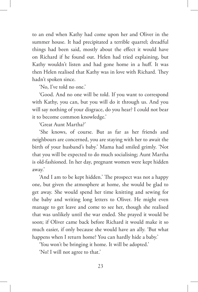to an end when Kathy had come upon her and Oliver in the summer house. It had precipitated a terrible quarrel; dreadful things had been said, mostly about the effect it would have on Richard if he found out. Helen had tried explaining, but Kathy wouldn't listen and had gone home in a huff. It was then Helen realised that Kathy was in love with Richard. They hadn't spoken since.

'No. I've told no one'

'Good. And no one will be told. If you want to correspond with Kathy, you can, but you will do it through us. And you will say nothing of your disgrace, do you hear? I could not bear it to become common knowledge.'

'Great Aunt Martha?'

'She knows, of course. But as far as her friends and neighbours are concerned, you are staying with her to await the birth of your husband's baby.' Mama had smiled grimly. 'Not that you will be expected to do much socialising; Aunt Martha is old-fashioned. In her day, pregnant women were kept hidden away.'

'And I am to be kept hidden.' The prospect was not a happy one, but given the atmosphere at home, she would be glad to get away. She would spend her time knitting and sewing for the baby and writing long letters to Oliver. He might even manage to get leave and come to see her, though she realised that was unlikely until the war ended. She prayed it would be soon; if Oliver came back before Richard it would make it so much easier, if only because she would have an ally. 'But what happens when I return home? You can hardly hide a baby.'

'You won't be bringing it home. It will be adopted.'

'No! I will not agree to that.'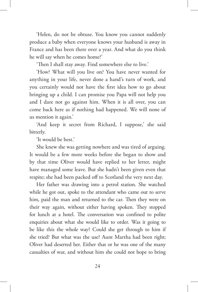'Helen, do not be obtuse. You know you cannot suddenly produce a baby when everyone knows your husband is away in France and has been there over a year. And what do you think he will say when he comes home?'

'Then I shall stay away. Find somewhere else to live.'

'How? What will you live on? You have never wanted for anything in your life, never done a hand's turn of work, and you certainly would not have the first idea how to go about bringing up a child. I can promise you Papa will not help you and I dare not go against him. When it is all over, you can come back here as if nothing had happened. We will none of us mention it again.'

'And keep it secret from Richard, I suppose,' she said bitterly.

'It would be best.'

She knew she was getting nowhere and was tired of arguing. It would be a few more weeks before she began to show and by that time Oliver would have replied to her letter, might have managed some leave. But she hadn't been given even that respite; she had been packed off to Scotland the very next day.

Her father was drawing into a petrol station. She watched while he got out, spoke to the attendant who came out to serve him, paid the man and returned to the car. Then they were on their way again, without either having spoken. They stopped for lunch at a hotel. The conversation was confined to polite enquiries about what she would like to order. Was it going to be like this the whole way? Could she get through to him if she tried? But what was the use? Aunt Martha had been right; Oliver had deserted her. Either that or he was one of the many casualties of war, and without him she could not hope to bring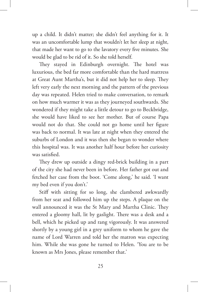up a child. It didn't matter; she didn't feel anything for it. It was an uncomfortable lump that wouldn't let her sleep at night, that made her want to go to the lavatory every five minutes. She would be glad to be rid of it. So she told herself.

They stayed in Edinburgh overnight. The hotel was luxurious, the bed far more comfortable than the hard mattress at Great Aunt Martha's, but it did not help her to sleep. They left very early the next morning and the pattern of the previous day was repeated. Helen tried to make conversation, to remark on how much warmer it was as they journeyed southwards. She wondered if they might take a little detour to go to Beckbridge, she would have liked to see her mother. But of course Papa would not do that. She could not go home until her figure was back to normal. It was late at night when they entered the suburbs of London and it was then she began to wonder where this hospital was. It was another half hour before her curiosity was satisfied.

They drew up outside a dingy red-brick building in a part of the city she had never been in before. Her father got out and fetched her case from the boot. 'Come along,' he said. 'I want my bed even if you don't.'

Stiff with sitting for so long, she clambered awkwardly from her seat and followed him up the steps. A plaque on the wall announced it was the St Mary and Martha Clinic. They entered a gloomy hall, lit by gaslight. There was a desk and a bell, which he picked up and rang vigorously. It was answered shortly by a young girl in a grey uniform to whom he gave the name of Lord Warren and told her the matron was expecting him. While she was gone he turned to Helen. 'You are to be known as Mrs Jones, please remember that.'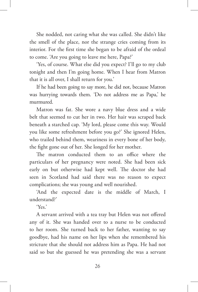She nodded, not caring what she was called. She didn't like the smell of the place, nor the strange cries coming from its interior. For the first time she began to be afraid of the ordeal to come. 'Are you going to leave me here, Papa?'

'Yes, of course. What else did you expect? I'll go to my club tonight and then I'm going home. When I hear from Matron that it is all over, I shall return for you.'

If he had been going to say more, he did not, because Matron was hurrying towards them. 'Do not address me as Papa,' he murmured.

Matron was fat. She wore a navy blue dress and a wide belt that seemed to cut her in two. Her hair was scraped back beneath a starched cap. 'My lord, please come this way. Would you like some refreshment before you go?' She ignored Helen, who trailed behind them, weariness in every bone of her body, the fight gone out of her. She longed for her mother.

The matron conducted them to an office where the particulars of her pregnancy were noted. She had been sick early on but otherwise had kept well. The doctor she had seen in Scotland had said there was no reason to expect complications; she was young and well nourished.

'And the expected date is the middle of March, I understand?'

 $v_{\text{ee}}$ 

A servant arrived with a tea tray but Helen was not offered any of it. She was handed over to a nurse to be conducted to her room. She turned back to her father, wanting to say goodbye, had his name on her lips when she remembered his stricture that she should not address him as Papa. He had not said so but she guessed he was pretending she was a servant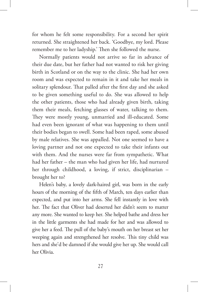for whom he felt some responsibility. For a second her spirit returned. She straightened her back. 'Goodbye, my lord. Please remember me to her ladyship.' Then she followed the nurse.

Normally patients would not arrive so far in advance of their due date, but her father had not wanted to risk her giving birth in Scotland or on the way to the clinic. She had her own room and was expected to remain in it and take her meals in solitary splendour. That palled after the first day and she asked to be given something useful to do. She was allowed to help the other patients, those who had already given birth, taking them their meals, fetching glasses of water, talking to them. They were mostly young, unmarried and ill-educated. Some had even been ignorant of what was happening to them until their bodies began to swell. Some had been raped, some abused by male relatives. She was appalled. Not one seemed to have a loving partner and not one expected to take their infants out with them. And the nurses were far from sympathetic. What had her father – the man who had given her life, had nurtured her through childhood, a loving, if strict, disciplinarian – brought her to?

Helen's baby, a lovely dark-haired girl, was born in the early hours of the morning of the fifth of March, ten days earlier than expected, and put into her arms. She fell instantly in love with her. The fact that Oliver had deserted her didn't seem to matter any more. She wanted to keep her. She helped bathe and dress her in the little garments she had made for her and was allowed to give her a feed. The pull of the baby's mouth on her breast set her weeping again and strengthened her resolve. This tiny child was hers and she'd be damned if she would give her up. She would call her Olivia.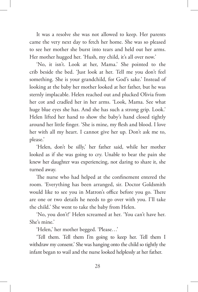It was a resolve she was not allowed to keep. Her parents came the very next day to fetch her home. She was so pleased to see her mother she burst into tears and held out her arms. Her mother hugged her. 'Hush, my child, it's all over now.'

'No, it isn't. Look at her, Mama.' She pointed to the crib beside the bed. 'Just look at her. Tell me you don't feel something. She is your grandchild, for God's sake.' Instead of looking at the baby her mother looked at her father, but he was sternly implacable. Helen reached out and plucked Olivia from her cot and cradled her in her arms. 'Look, Mama. See what huge blue eyes she has. And she has such a strong grip. Look.' Helen lifted her hand to show the baby's hand closed tightly around her little finger. 'She is mine, my flesh and blood. I love her with all my heart. I cannot give her up. Don't ask me to, please.'

'Helen, don't be silly,' her father said, while her mother looked as if she was going to cry. Unable to bear the pain she knew her daughter was experiencing, not daring to share it, she turned away.

The nurse who had helped at the confinement entered the room. 'Everything has been arranged, sir. Doctor Goldsmith would like to see you in Matron's office before you go. There are one or two details he needs to go over with you. I'll take the child.' She went to take the baby from Helen.

'No, you don't!' Helen screamed at her. 'You can't have her. She's mine.'

'Helen,' her mother begged. 'Please…'

'Tell them. Tell them I'm going to keep her. Tell them I withdraw my consent.' She was hanging onto the child so tightly the infant began to wail and the nurse looked helplessly at her father.